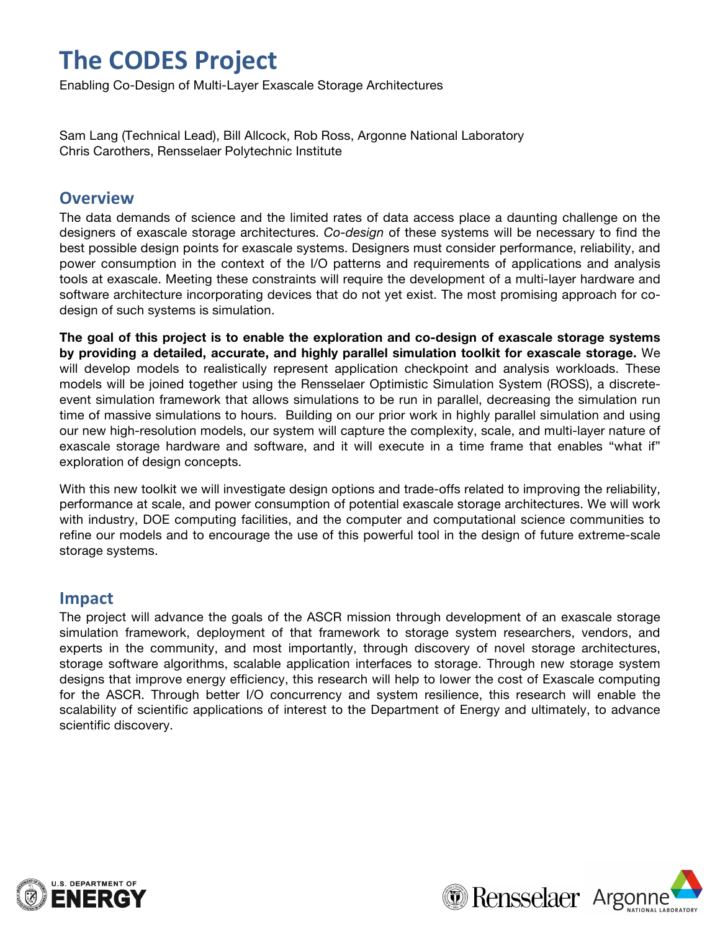## **The\$CODES Project**

Enabling Co-Design of Multi-Layer Exascale Storage Architectures

Sam Lang (Technical Lead), Bill Allcock, Rob Ross, Argonne National Laboratory Chris Carothers, Rensselaer Polytechnic Institute

#### **Overview**

The data demands of science and the limited rates of data access place a daunting challenge on the designers of exascale storage architectures. *Co-design* of these systems will be necessary to find the best possible design points for exascale systems. Designers must consider performance, reliability, and power consumption in the context of the I/O patterns and requirements of applications and analysis tools at exascale. Meeting these constraints will require the development of a multi-layer hardware and software architecture incorporating devices that do not yet exist. The most promising approach for codesign of such systems is simulation.

**The goal of this project is to enable the exploration and co-design of exascale storage systems by providing a detailed, accurate, and highly parallel simulation toolkit for exascale storage.** We will develop models to realistically represent application checkpoint and analysis workloads. These models will be joined together using the Rensselaer Optimistic Simulation System (ROSS), a discreteevent simulation framework that allows simulations to be run in parallel, decreasing the simulation run time of massive simulations to hours. Building on our prior work in highly parallel simulation and using our new high-resolution models, our system will capture the complexity, scale, and multi-layer nature of exascale storage hardware and software, and it will execute in a time frame that enables "what if" exploration of design concepts.

With this new toolkit we will investigate design options and trade-offs related to improving the reliability, performance at scale, and power consumption of potential exascale storage architectures. We will work with industry, DOE computing facilities, and the computer and computational science communities to refine our models and to encourage the use of this powerful tool in the design of future extreme-scale storage systems.

## **Impact**

The project will advance the goals of the ASCR mission through development of an exascale storage simulation framework, deployment of that framework to storage system researchers, vendors, and experts in the community, and most importantly, through discovery of novel storage architectures, storage software algorithms, scalable application interfaces to storage. Through new storage system designs that improve energy efficiency, this research will help to lower the cost of Exascale computing for the ASCR. Through better I/O concurrency and system resilience, this research will enable the scalability of scientific applications of interest to the Department of Energy and ultimately, to advance scientific discovery.